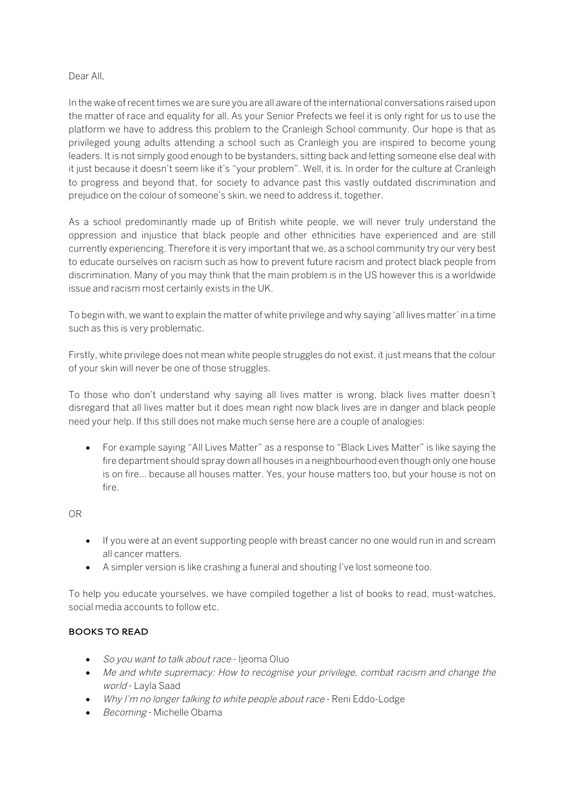# Dear All,

In the wake of recent times we are sure you are all aware of the international conversations raised upon the matter of race and equality for all. As your Senior Prefects we feel it is only right for us to use the platform we have to address this problem to the Cranleigh School community. Our hope is that as privileged young adults attending a school such as Cranleigh you are inspired to become young leaders. It is not simply good enough to be bystanders, sitting back and letting someone else deal with it just because it doesn't seem like it's "your problem". Well, it is. In order for the culture at Cranleigh to progress and beyond that, for society to advance past this vastly outdated discrimination and prejudice on the colour of someone's skin, we need to address it, together.

As a school predominantly made up of British white people, we will never truly understand the oppression and injustice that black people and other ethnicities have experienced and are still currently experiencing. Therefore it is very important that we, as a school community try our very best to educate ourselves on racism such as how to prevent future racism and protect black people from discrimination. Many of you may think that the main problem is in the US however this is a worldwide issue and racism most certainly exists in the UK.

To begin with, we want to explain the matter of white privilege and why saying 'all lives matter' in a time such as this is very problematic.

Firstly, white privilege does not mean white people struggles do not exist, it just means that the colour of your skin will never be one of those struggles.

To those who don't understand why saying all lives matter is wrong, black lives matter doesn't disregard that all lives matter but it does mean right now black lives are in danger and black people need your help. If this still does not make much sense here are a couple of analogies:

• For example saying "All Lives Matter" as a response to "Black Lives Matter" is like saying the fire department should spray down all houses in a neighbourhood even though only one house is on fire… because all houses matter. Yes, your house matters too, but your house is not on fire.

OR

- If you were at an event supporting people with breast cancer no one would run in and scream all cancer matters.
- A simpler version is like crashing a funeral and shouting I've lost someone too.

To help you educate yourselves, we have compiled together a list of books to read, must-watches, social media accounts to follow etc.

# **BOOKS TO READ**

- So you want to talk about race Ijeoma Oluo
- Me and white supremacy: How to recognise your privilege, combat racism and change the world - Layla Saad
- Why I'm no longer talking to white people about race Reni Eddo-Lodge
- Becoming Michelle Obama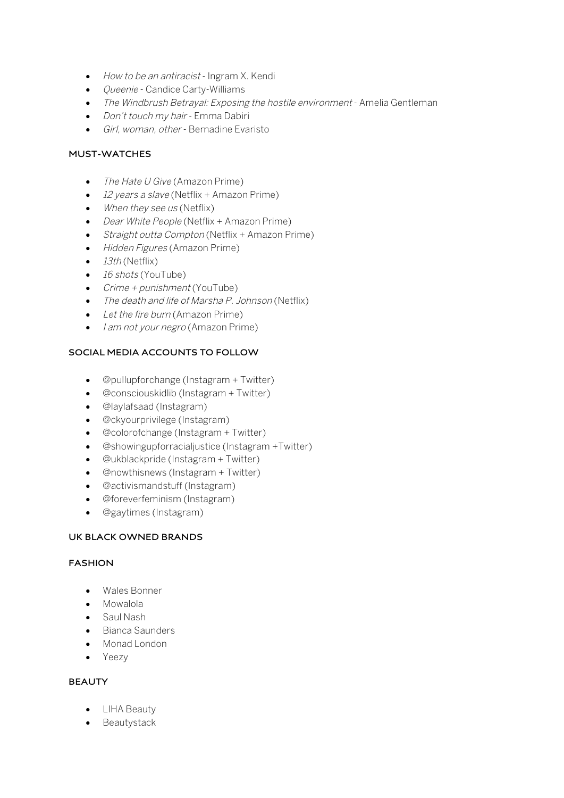- How to be an antiracist Ingram X. Kendi
- Queenie Candice Carty-Williams
- The Windbrush Betrayal: Exposing the hostile environment Amelia Gentleman
- Don't touch my hair Emma Dabiri
- Girl, woman, other Bernadine Evaristo

# **MUST-WATCHES**

- The Hate U Give (Amazon Prime)
- 12 years a slave (Netflix + Amazon Prime)
- When they see us (Netflix)
- Dear White People (Netflix + Amazon Prime)
- Straight outta Compton (Netflix + Amazon Prime)
- Hidden Figures (Amazon Prime)
- $\bullet$  13th (Netflix)
- 16 shots (YouTube)
- $C$ rime + punishment (YouTube)
- The death and life of Marsha P. Johnson (Netflix)
- Let the fire burn (Amazon Prime)
- *I am not your negro* (Amazon Prime)

# **SOCIAL MEDIA ACCOUNTS TO FOLLOW**

- @pullupforchange (Instagram + Twitter)
- @consciouskidlib (Instagram + Twitter)
- @laylafsaad (Instagram)
- @ckyourprivilege (Instagram)
- @colorofchange (Instagram + Twitter)
- @showingupforracialjustice (Instagram +Twitter)
- @ukblackpride (Instagram + Twitter)
- @nowthisnews (Instagram + Twitter)
- @activismandstuff (Instagram)
- @foreverfeminism (Instagram)
- @gaytimes (Instagram)

# **UK BLACK OWNED BRANDS**

#### **FASHION**

- Wales Bonner
- Mowalola
- Saul Nash
- Bianca Saunders
- Monad London
- Yeezy

# **BEAUTY**

- LIHA Beauty
- Beautystack